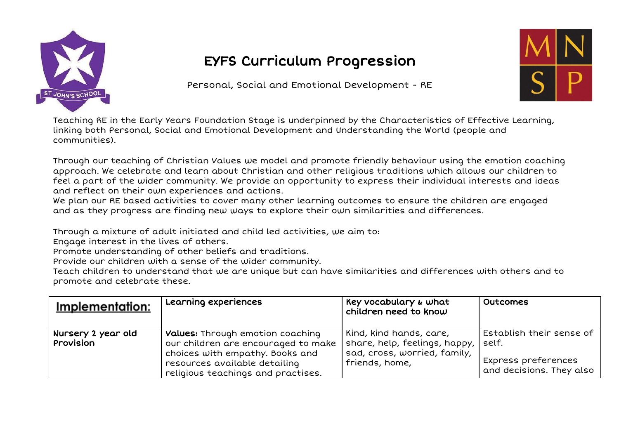

## EYFS Curriculum Progression

Personal, Social and Emotional Development - RE



Teaching RE in the Early Years Foundation Stage is underpinned by the Characteristics of Effective Learning, linking both Personal, Social and Emotional Development and Understanding the World (people and communities).

Through our teaching of Christian Values we model and promote friendly behaviour using the emotion coaching approach. We celebrate and learn about Christian and other religious traditions which allows our children to feel a part of the wider community. We provide an opportunity to express their individual interests and ideas and reflect on their own experiences and actions.

We plan our RE based activities to cover many other learning outcomes to ensure the children are engaged and as they progress are finding new ways to explore their own similarities and differences.

Through a mixture of adult initiated and child led activities, we aim to:

Engage interest in the lives of others.

Promote understanding of other beliefs and traditions.

Provide our children with a sense of the wider community.

Teach children to understand that we are unique but can have similarities and differences with others and to promote and celebrate these.

| Implementation:                 | Learning experiences                                                                                                                                                                     | Key vocabulary & what<br>children need to know                                                             | Outcomes                                                                             |
|---------------------------------|------------------------------------------------------------------------------------------------------------------------------------------------------------------------------------------|------------------------------------------------------------------------------------------------------------|--------------------------------------------------------------------------------------|
| Nursery 2 year old<br>Provision | <b>Values:</b> Through emotion coaching<br>our children are encouraged to make<br>choices with empathy. Books and<br>resources available detailing<br>religious teachings and practises. | Kind, kind hands, care,<br>share, help, feelings, happy,<br>sad, cross, worried, family,<br>friends, home, | Establish their sense of<br>self.<br>Express preferences<br>and decisions. They also |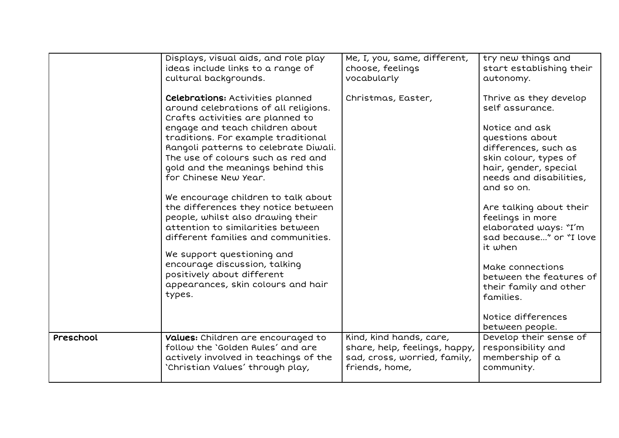|           | Displays, visual aids, and role play    | Me, I, you, same, different,  | try new things and       |
|-----------|-----------------------------------------|-------------------------------|--------------------------|
|           | ideas include links to a range of       | choose, feelings              | start establishing their |
|           | cultural backgrounds.                   | vocabularly                   | autonomy.                |
|           |                                         |                               |                          |
|           | <b>Celebrations: Activities planned</b> | Christmas, Easter,            | Thrive as they develop   |
|           | around celebrations of all religions.   |                               | self assurance.          |
|           | Crafts activities are planned to        |                               |                          |
|           | engage and teach children about         |                               | Notice and ask           |
|           | traditions. For example traditional     |                               | questions about          |
|           | Rangoli patterns to celebrate Diwali.   |                               | differences, such as     |
|           | The use of colours such as red and      |                               | skin colour, types of    |
|           | gold and the meanings behind this       |                               | hair, gender, special    |
|           | for Chinese New Year.                   |                               | needs and disabilities,  |
|           |                                         |                               | and so on.               |
|           | We encourage children to talk about     |                               |                          |
|           | the differences they notice between     |                               | Are talking about their  |
|           | people, whilst also drawing their       |                               | feelings in more         |
|           | attention to similarities between       |                               | elaborated ways: "I'm    |
|           | different families and communities.     |                               | sad because" or "I love  |
|           |                                         |                               | it when                  |
|           | We support questioning and              |                               |                          |
|           | encourage discussion, talking           |                               | Make connections         |
|           | positively about different              |                               | between the features of  |
|           | appearances, skin colours and hair      |                               | their family and other   |
|           | types.                                  |                               | families.                |
|           |                                         |                               |                          |
|           |                                         |                               | Notice differences       |
|           |                                         |                               | between people.          |
| Preschool | Values: Children are encouraged to      | Kind, kind hands, care,       | Develop their sense of   |
|           | follow the 'Golden Rules' and are       | share, help, feelings, happy, | responsibility and       |
|           | actively involved in teachings of the   | sad, cross, worried, family,  | membership of a          |
|           | 'Christian Values' through play,        | friends, home,                | community.               |
|           |                                         |                               |                          |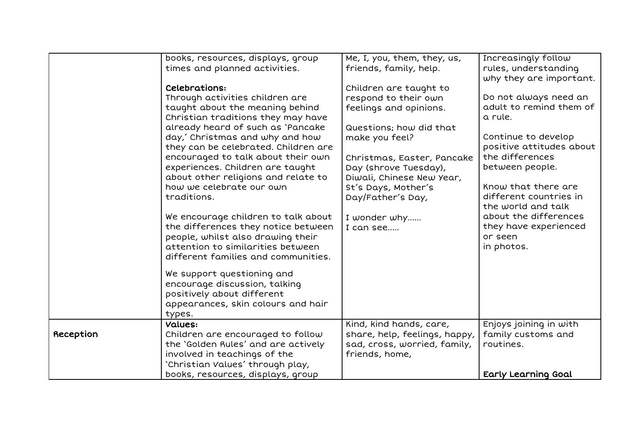|           | books, resources, displays, group    | Me, I, you, them, they, us,   | Increasingly follow      |
|-----------|--------------------------------------|-------------------------------|--------------------------|
|           | times and planned activities.        | friends, family, help.        | rules, understanding     |
|           |                                      |                               | why they are important.  |
|           | Celebrations:                        | Children are taught to        |                          |
|           | Through activities children are      | respond to their own          | Do not always need an    |
|           | taught about the meaning behind      | feelings and opinions.        | adult to remind them of  |
|           | Christian traditions they may have   |                               | a rule.                  |
|           | already heard of such as 'Pancake    | Questions; how did that       |                          |
|           | day,' Christmas and why and how      | make you feel?                | Continue to develop      |
|           | they can be celebrated. Children are |                               | positive attitudes about |
|           | encouraged to talk about their own   | Christmas, Easter, Pancake    | the differences          |
|           | experiences. Children are taught     | Day (shrove Tuesday),         | between people.          |
|           | about other religions and relate to  | Diwali, Chinese New Year,     |                          |
|           | how we celebrate our own             | St's Days, Mother's           | Know that there are      |
|           | traditions.                          | Day/Father's Day,             | different countries in   |
|           |                                      |                               | the world and talk       |
|           | We encourage children to talk about  | I wonder why                  | about the differences    |
|           | the differences they notice between  | I can see                     | they have experienced    |
|           | people, whilst also drawing their    |                               | or seen                  |
|           | attention to similarities between    |                               | in photos.               |
|           | different families and communities.  |                               |                          |
|           | We support questioning and           |                               |                          |
|           | encourage discussion, talking        |                               |                          |
|           | positively about different           |                               |                          |
|           | appearances, skin colours and hair   |                               |                          |
|           | types.                               |                               |                          |
|           | Values:                              | Kind, kind hands, care,       | Enjoys joining in with   |
| Reception | Children are encouraged to follow    | share, help, feelings, happy, | family customs and       |
|           | the 'Golden Rules' and are actively  | sad, cross, worried, family,  | routines.                |
|           | involved in teachings of the         | friends, home,                |                          |
|           | 'Christian Values' through play,     |                               |                          |
|           | books, resources, displays, group    |                               | Early Learning Goal      |